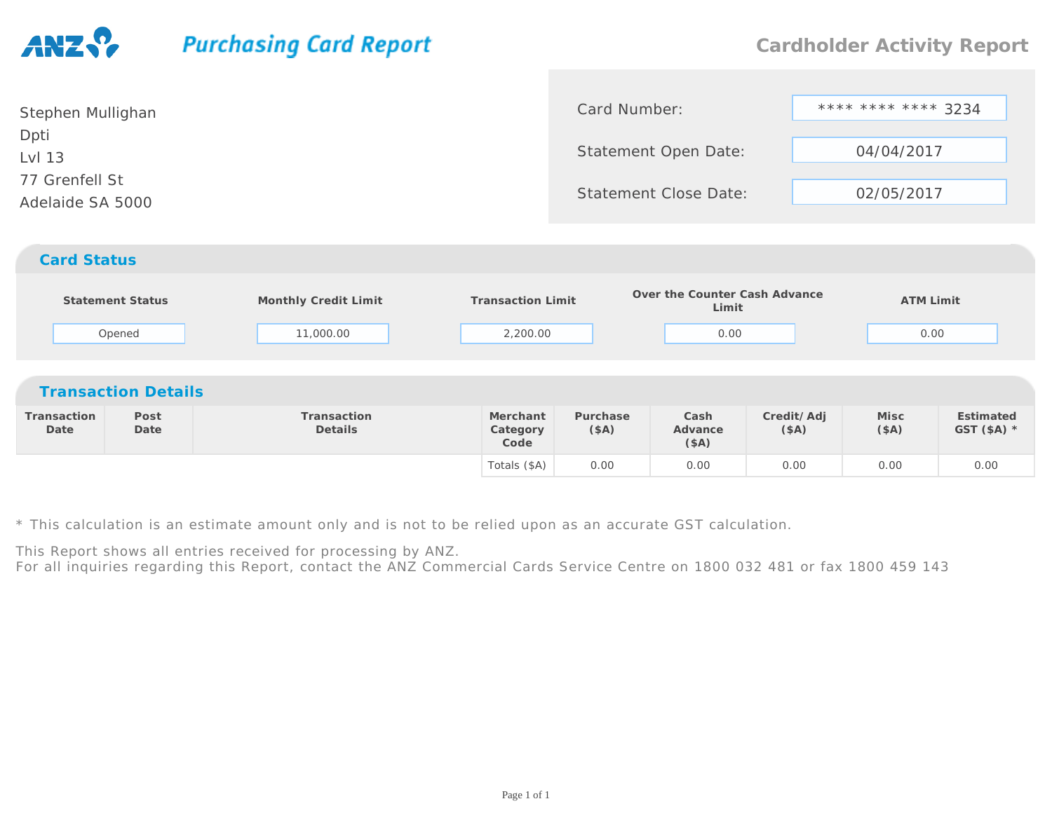## **Purchasing Card Report**

| Stephen Mullighan                  | Card Number:                 | **** **** **** 3234 |
|------------------------------------|------------------------------|---------------------|
| Dpti<br>Lvl 13                     | <b>Statement Open Date:</b>  | 04/04/2017          |
| 77 Grenfell St<br>Adelaide SA 5000 | <b>Statement Close Date:</b> | 02/05/2017          |
| <b>Card Status</b>                 |                              |                     |

|                     | <b>Statement Status</b><br>Opened | Monthly Credit Limit<br>11,000.00 | <b>Transaction Limit</b><br>2,200.00 |                  | Over the Counter Cash Advance<br>Limit<br>0.00 |                    | <b>ATM Limit</b><br>0.00 |                           |
|---------------------|-----------------------------------|-----------------------------------|--------------------------------------|------------------|------------------------------------------------|--------------------|--------------------------|---------------------------|
|                     | <b>Transaction Details</b>        |                                   |                                      |                  |                                                |                    |                          |                           |
| Transaction<br>Date | Post<br>Date                      | Transaction<br><b>Details</b>     | Merchant<br>Category<br>Code         | Purchase<br>(SA) | Cash<br>Advance<br>(\$A)                       | Credit/Adj<br>(SA) | Misc<br>(SA)             | Estimated<br>GST $($A)$ * |
|                     |                                   |                                   | Totals (\$A)                         | 0.00             | 0.00                                           | 0.00               | 0.00                     | 0.00                      |

\* This calculation is an estimate amount only and is not to be relied upon as an accurate GST calculation.

This Report shows all entries received for processing by ANZ.

For all inquiries regarding this Report, contact the ANZ Commercial Cards Service Centre on 1800 032 481 or fax 1800 459 143